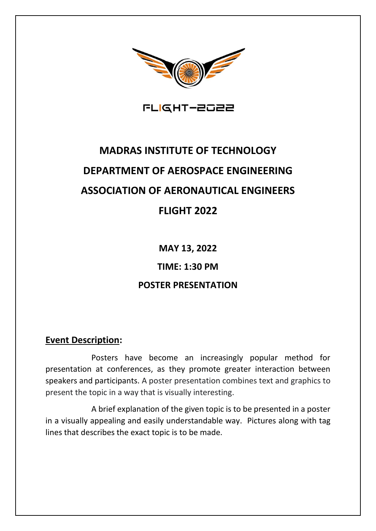

FLIGHT-2022

# **MADRAS INSTITUTE OF TECHNOLOGY DEPARTMENT OF AEROSPACE ENGINEERING ASSOCIATION OF AERONAUTICAL ENGINEERS FLIGHT 2022**

**MAY 13, 2022 TIME: 1:30 PM POSTER PRESENTATION**

## **Event Description:**

 Posters have become an increasingly popular method for presentation at conferences, as they promote greater interaction between speakers and participants. A poster presentation combines text and graphics to present the topic in a way that is visually interesting.

 A brief explanation of the given topic is to be presented in a poster in a visually appealing and easily understandable way. Pictures along with tag lines that describes the exact topic is to be made.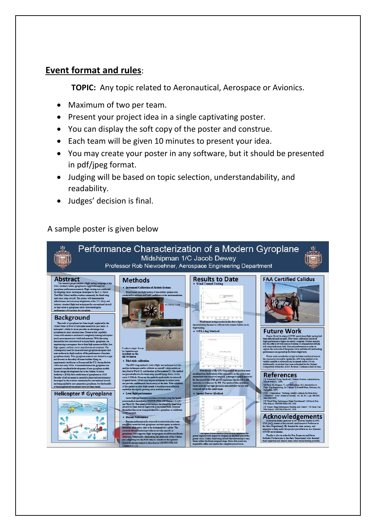# **Event format and rules**:

**TOPIC:** Any topic related to Aeronautical, Aerospace or Avionics.

- Maximum of two per team.
- Present your project idea in a single captivating poster.
- You can display the soft copy of the poster and construe.
- Each team will be given 10 minutes to present your idea.
- You may create your poster in any software, but it should be presented in pdf/jpeg format.
- Judging will be based on topic selection, understandability, and readability.
- Judges' decision is final.

### A sample poster is given below